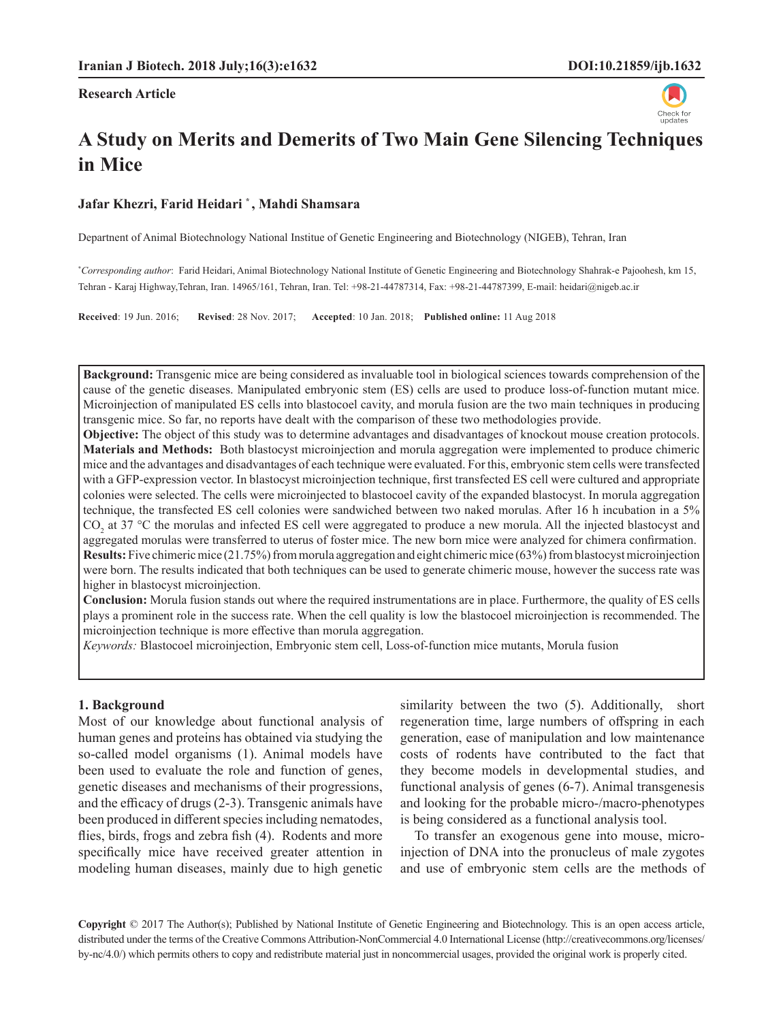**Research Article**



# **A Study on Merits and Demerits of Two Main Gene Silencing Techniques in Mice**

#### **Jafar Khezri, Farid Heidari \* , Mahdi Shamsara**

Departnent of Animal Biotechnology National Institue of Genetic Engineering and Biotechnology (NIGEB), Tehran, Iran

**\*** *Corresponding author*: Farid Heidari, Animal Biotechnology National Institute of Genetic Engineering and Biotechnology Shahrak-e Pajoohesh, km 15, Tehran - Karaj Highway,Tehran, Iran. 14965/161, Tehran, Iran. Tel: +98-21-44787314, Fax: +98-21-44787399, E-mail: heidari@nigeb.ac.ir

**Received**: 19 Jun. 2016; **Revised**: 28 Nov. 2017; **Accepted**: 10 Jan. 2018; **Published online:** 11 Aug 2018

**Background:** Transgenic mice are being considered as invaluable tool in biological sciences towards comprehension of the cause of the genetic diseases. Manipulated embryonic stem (ES) cells are used to produce loss-of-function mutant mice. Microinjection of manipulated ES cells into blastocoel cavity, and morula fusion are the two main techniques in producing transgenic mice. So far, no reports have dealt with the comparison of these two methodologies provide.

**Objective:** The object of this study was to determine advantages and disadvantages of knockout mouse creation protocols. **Materials and Methods:** Both blastocyst microinjection and morula aggregation were implemented to produce chimeric mice and the advantages and disadvantages of each technique were evaluated. For this, embryonic stem cells were transfected with a GFP-expression vector. In blastocyst microinjection technique, first transfected ES cell were cultured and appropriate colonies were selected. The cells were microinjected to blastocoel cavity of the expanded blastocyst. In morula aggregation technique, the transfected ES cell colonies were sandwiched between two naked morulas. After 16 h incubation in a 5%  $CO_2$  at 37 °C the morulas and infected ES cell were aggregated to produce a new morula. All the injected blastocyst and aggregated morulas were transferred to uterus of foster mice. The new born mice were analyzed for chimera confirmation. **Results:**Five chimeric mice (21.75%) from morula aggregation and eight chimeric mice (63%) from blastocyst microinjection were born. The results indicated that both techniques can be used to generate chimeric mouse, however the success rate was higher in blastocyst microinjection.

**Conclusion:** Morula fusion stands out where the required instrumentations are in place. Furthermore, the quality of ES cells plays a prominent role in the success rate. When the cell quality is low the blastocoel microinjection is recommended. The microinjection technique is more effective than morula aggregation.

*Keywords:* Blastocoel microinjection, Embryonic stem cell, Loss-of-function mice mutants, Morula fusion

#### **1. Background**

Most of our knowledge about functional analysis of human genes and proteins has obtained via studying the so-called model organisms (1). Animal models have been used to evaluate the role and function of genes, genetic diseases and mechanisms of their progressions, and the efficacy of drugs (2-3). Transgenic animals have been produced in different species including nematodes, flies, birds, frogs and zebra fish (4). Rodents and more specifically mice have received greater attention in modeling human diseases, mainly due to high genetic similarity between the two (5). Additionally, short regeneration time, large numbers of offspring in each generation, ease of manipulation and low maintenance costs of rodents have contributed to the fact that they become models in developmental studies, and functional analysis of genes (6-7). Animal transgenesis and looking for the probable micro-/macro-phenotypes is being considered as a functional analysis tool.

To transfer an exogenous gene into mouse, microinjection of DNA into the pronucleus of male zygotes and use of embryonic stem cells are the methods of

**Copyright** © 2017 The Author(s); Published by National Institute of Genetic Engineering and Biotechnology. This is an open access article, distributed under the terms of the Creative Commons Attribution-NonCommercial 4.0 International License (http://creativecommons.org/licenses/ by-nc/4.0/) which permits others to copy and redistribute material just in noncommercial usages, provided the original work is properly cited.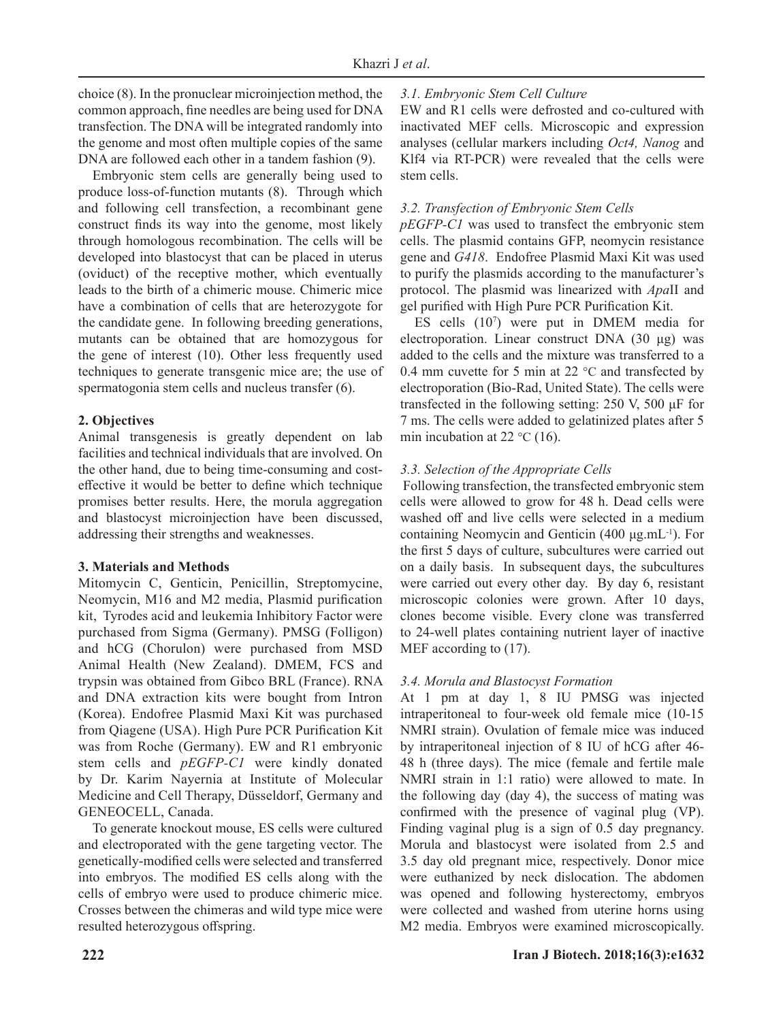choice (8). In the pronuclear microinjection method, the common approach, fine needles are being used for DNA transfection. The DNA will be integrated randomly into the genome and most often multiple copies of the same DNA are followed each other in a tandem fashion (9).

Embryonic stem cells are generally being used to produce loss-of-function mutants (8). Through which and following cell transfection, a recombinant gene construct finds its way into the genome, most likely through homologous recombination. The cells will be developed into blastocyst that can be placed in uterus (oviduct) of the receptive mother, which eventually leads to the birth of a chimeric mouse. Chimeric mice have a combination of cells that are heterozygote for the candidate gene. In following breeding generations, mutants can be obtained that are homozygous for the gene of interest (10). Other less frequently used techniques to generate transgenic mice are; the use of spermatogonia stem cells and nucleus transfer (6).

#### **2. Objectives**

Animal transgenesis is greatly dependent on lab facilities and technical individuals that are involved. On the other hand, due to being time-consuming and costeffective it would be better to define which technique promises better results. Here, the morula aggregation and blastocyst microinjection have been discussed, addressing their strengths and weaknesses.

# **3. Materials and Methods**

Mitomycin C, Genticin, Penicillin, Streptomycine, Neomycin, M16 and M2 media, Plasmid purification kit, Tyrodes acid and leukemia Inhibitory Factor were purchased from Sigma (Germany). PMSG (Folligon) and hCG (Chorulon) were purchased from MSD Animal Health (New Zealand). DMEM, FCS and trypsin was obtained from Gibco BRL (France). RNA and DNA extraction kits were bought from Intron (Korea). Endofree Plasmid Maxi Kit was purchased from Qiagene (USA). High Pure PCR Purification Kit was from Roche (Germany). EW and R1 embryonic stem cells and *pEGFP-C1* were kindly donated by Dr. Karim Nayernia at Institute of Molecular Medicine and Cell Therapy, Düsseldorf, Germany and GENEOCELL, Canada.

To generate knockout mouse, ES cells were cultured and electroporated with the gene targeting vector. The genetically-modified cells were selected and transferred into embryos. The modified ES cells along with the cells of embryo were used to produce chimeric mice. Crosses between the chimeras and wild type mice were resulted heterozygous offspring.

# *3.1. Embryonic Stem Cell Culture*

EW and R1 cells were defrosted and co-cultured with inactivated MEF cells. Microscopic and expression analyses (cellular markers including *Oct4, Nanog* and Klf4 via RT-PCR) were revealed that the cells were stem cells.

## *3.2. Transfection of Embryonic Stem Cells*

*pEGFP-C1* was used to transfect the embryonic stem cells. The plasmid contains GFP, neomycin resistance gene and *G418*. Endofree Plasmid Maxi Kit was used to purify the plasmids according to the manufacturer's protocol. The plasmid was linearized with *Apa*II and gel purified with High Pure PCR Purification Kit.

ES cells (10<sup>7</sup> ) were put in DMEM media for electroporation. Linear construct DNA (30 μg) was added to the cells and the mixture was transferred to a 0.4 mm cuvette for 5 min at 22 °C and transfected by electroporation (Bio-Rad, United State). The cells were transfected in the following setting: 250 V, 500 μF for 7 ms. The cells were added to gelatinized plates after 5 min incubation at 22 °C (16).

# *3.3. Selection of the Appropriate Cells*

Following transfection, the transfected embryonic stem cells were allowed to grow for 48 h. Dead cells were washed off and live cells were selected in a medium containing Neomycin and Genticin (400 μg.mL-1). For the first 5 days of culture, subcultures were carried out on a daily basis. In subsequent days, the subcultures were carried out every other day. By day 6, resistant microscopic colonies were grown. After 10 days, clones become visible. Every clone was transferred to 24-well plates containing nutrient layer of inactive MEF according to (17).

# *3.4. Morula and Blastocyst Formation*

At 1 pm at day 1, 8 IU PMSG was injected intraperitoneal to four-week old female mice (10-15 NMRI strain). Ovulation of female mice was induced by intraperitoneal injection of 8 IU of hCG after 46- 48 h (three days). The mice (female and fertile male NMRI strain in 1:1 ratio) were allowed to mate. In the following day (day 4), the success of mating was confirmed with the presence of vaginal plug (VP). Finding vaginal plug is a sign of 0.5 day pregnancy. Morula and blastocyst were isolated from 2.5 and 3.5 day old pregnant mice, respectively. Donor mice were euthanized by neck dislocation. The abdomen was opened and following hysterectomy, embryos were collected and washed from uterine horns using M2 media. Embryos were examined microscopically.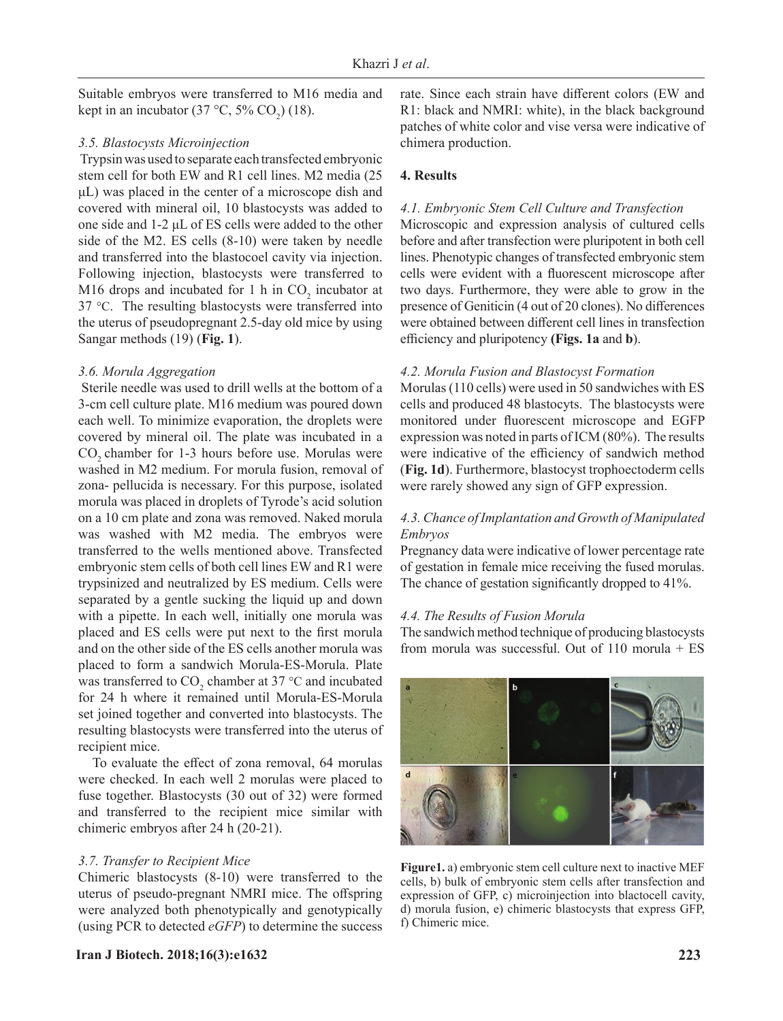Suitable embryos were transferred to M16 media and kept in an incubator (37 °C, 5% CO<sub>2</sub>) (18).

## *3.5. Blastocysts Microinjection*

Trypsin was used to separate each transfected embryonic stem cell for both EW and R1 cell lines. M2 media (25 μL) was placed in the center of a microscope dish and covered with mineral oil, 10 blastocysts was added to one side and 1-2 μL of ES cells were added to the other side of the M2. ES cells (8-10) were taken by needle and transferred into the blastocoel cavity via injection. Following injection, blastocysts were transferred to M16 drops and incubated for 1 h in  $CO_2$  incubator at 37 °C. The resulting blastocysts were transferred into the uterus of pseudopregnant 2.5-day old mice by using Sangar methods (19) (**Fig. 1**).

#### *3.6. Morula Aggregation*

Sterile needle was used to drill wells at the bottom of a 3-cm cell culture plate. M16 medium was poured down each well. To minimize evaporation, the droplets were covered by mineral oil. The plate was incubated in a CO<sub>2</sub> chamber for 1-3 hours before use. Morulas were washed in M2 medium. For morula fusion, removal of zona- pellucida is necessary. For this purpose, isolated morula was placed in droplets of Tyrode's acid solution on a 10 cm plate and zona was removed. Naked morula was washed with M2 media. The embryos were transferred to the wells mentioned above. Transfected embryonic stem cells of both cell lines EW and R1 were trypsinized and neutralized by ES medium. Cells were separated by a gentle sucking the liquid up and down with a pipette. In each well, initially one morula was placed and ES cells were put next to the first morula and on the other side of the ES cells another morula was placed to form a sandwich Morula-ES-Morula. Plate was transferred to  $CO_2$  chamber at 37 °C and incubated for 24 h where it remained until Morula-ES-Morula set joined together and converted into blastocysts. The resulting blastocysts were transferred into the uterus of recipient mice.

To evaluate the effect of zona removal, 64 morulas were checked. In each well 2 morulas were placed to fuse together. Blastocysts (30 out of 32) were formed and transferred to the recipient mice similar with chimeric embryos after 24 h (20-21).

# *3.7. Transfer to Recipient Mice*

Chimeric blastocysts (8-10) were transferred to the uterus of pseudo-pregnant NMRI mice. The offspring were analyzed both phenotypically and genotypically (using PCR to detected *eGFP*) to determine the success

**Iran J Biotech. 2018;16(3):e1632 223**

rate. Since each strain have different colors (EW and R1: black and NMRI: white), in the black background patches of white color and vise versa were indicative of chimera production.

# **4. Results**

#### *4.1. Embryonic Stem Cell Culture and Transfection*

Microscopic and expression analysis of cultured cells before and after transfection were pluripotent in both cell lines. Phenotypic changes of transfected embryonic stem cells were evident with a fluorescent microscope after two days. Furthermore, they were able to grow in the presence of Geniticin (4 out of 20 clones). No differences were obtained between different cell lines in transfection efficiency and pluripotency **(Figs. 1a** and **b**).

#### *4.2. Morula Fusion and Blastocyst Formation*

Morulas (110 cells) were used in 50 sandwiches with ES cells and produced 48 blastocyts. The blastocysts were monitored under fluorescent microscope and EGFP expression was noted in parts of ICM (80%). The results were indicative of the efficiency of sandwich method (**Fig. 1d**). Furthermore, blastocyst trophoectoderm cells were rarely showed any sign of GFP expression.

# *4.3. Chance of Implantation and Growth of Manipulated Embryos*

Pregnancy data were indicative of lower percentage rate of gestation in female mice receiving the fused morulas. The chance of gestation significantly dropped to 41%.

#### *4.4. The Results of Fusion Morula*

The sandwich method technique of producing blastocysts from morula was successful. Out of 110 morula + ES



**Figure1.** a) embryonic stem cell culture next to inactive MEF cells, b) bulk of embryonic stem cells after transfection and expression of GFP, c) microinjection into blactocell cavity, d) morula fusion, e) chimeric blastocysts that express GFP, f) Chimeric mice.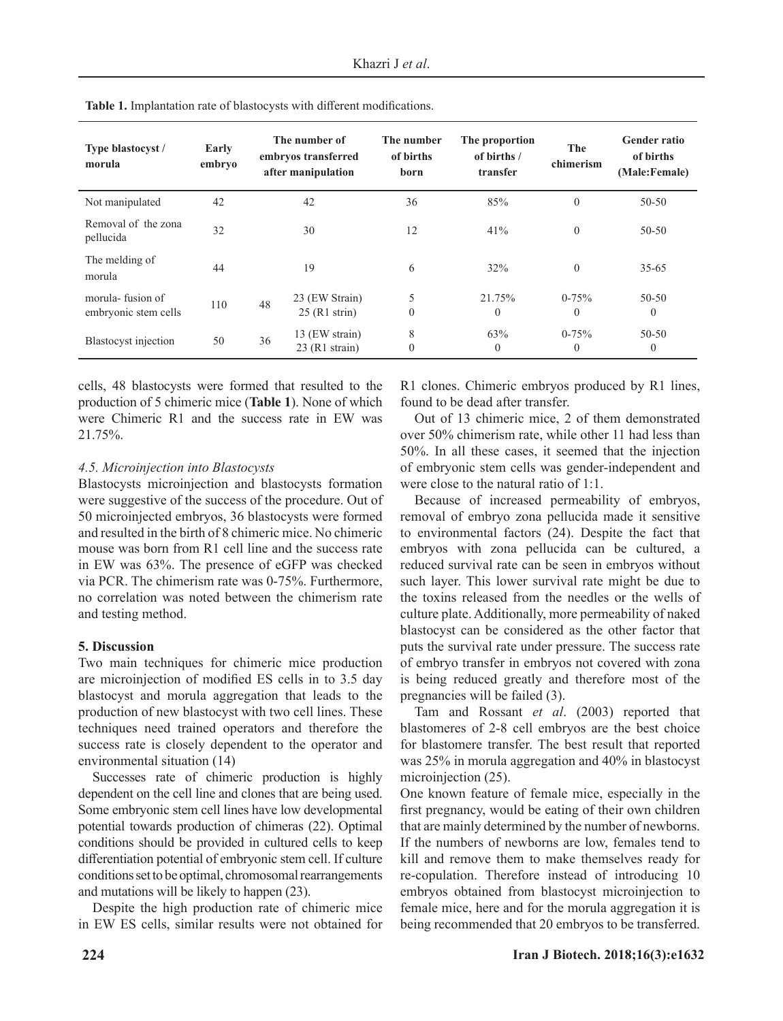| Type blastocyst /<br>morula              | Early<br>embryo | The number of<br>embryos transferred<br>after manipulation |                  | The number<br>of births<br>born | The proportion<br>of births /<br>transfer | The<br>chimerism | <b>Gender ratio</b><br>of births<br>(Male:Female) |
|------------------------------------------|-----------------|------------------------------------------------------------|------------------|---------------------------------|-------------------------------------------|------------------|---------------------------------------------------|
| Not manipulated                          | 42              | 42                                                         |                  | 36                              | 85%                                       | $\theta$         | $50 - 50$                                         |
| Removal of the zona<br>pellucida         | 32              |                                                            | 30               | 12                              | 41%                                       | $\theta$         | $50 - 50$                                         |
| The melding of<br>morula                 | 44              |                                                            | 19               | 6                               | 32%                                       | $\mathbf{0}$     | $35 - 65$                                         |
| morula-fusion of<br>embryonic stem cells | 110             | 48                                                         | 23 (EW Strain)   | 5                               | 21.75%                                    | $0 - 75%$        | $50 - 50$                                         |
|                                          |                 |                                                            | $25$ (R1 strin)  | $\theta$                        | $\theta$                                  | $\theta$         | $\theta$                                          |
| Blastocyst injection                     | 50              | 36                                                         | 13 (EW strain)   | 8                               | 63%                                       | $0 - 75%$        | $50 - 50$                                         |
|                                          |                 |                                                            | $23$ (R1 strain) | $\mathbf{0}$                    | $\overline{0}$                            | $\theta$         | 0                                                 |

**Table 1.** Implantation rate of blastocysts with different modifications.

cells, 48 blastocysts were formed that resulted to the production of 5 chimeric mice (**Table 1**). None of which were Chimeric R1 and the success rate in EW was 21.75%.

# *4.5. Microinjection into Blastocysts*

Blastocysts microinjection and blastocysts formation were suggestive of the success of the procedure. Out of 50 microinjected embryos, 36 blastocysts were formed and resulted in the birth of 8 chimeric mice. No chimeric mouse was born from R1 cell line and the success rate in EW was 63%. The presence of eGFP was checked via PCR. The chimerism rate was 0-75%. Furthermore, no correlation was noted between the chimerism rate and testing method.

# **5. Discussion**

Two main techniques for chimeric mice production are microinjection of modified ES cells in to 3.5 day blastocyst and morula aggregation that leads to the production of new blastocyst with two cell lines. These techniques need trained operators and therefore the success rate is closely dependent to the operator and environmental situation (14)

Successes rate of chimeric production is highly dependent on the cell line and clones that are being used. Some embryonic stem cell lines have low developmental potential towards production of chimeras (22). Optimal conditions should be provided in cultured cells to keep differentiation potential of embryonic stem cell. If culture conditions set to be optimal, chromosomal rearrangements and mutations will be likely to happen (23).

Despite the high production rate of chimeric mice in EW ES cells, similar results were not obtained for

R1 clones. Chimeric embryos produced by R1 lines, found to be dead after transfer.

Out of 13 chimeric mice, 2 of them demonstrated over 50% chimerism rate, while other 11 had less than 50%. In all these cases, it seemed that the injection of embryonic stem cells was gender-independent and were close to the natural ratio of 1:1.

Because of increased permeability of embryos, removal of embryo zona pellucida made it sensitive to environmental factors (24). Despite the fact that embryos with zona pellucida can be cultured, a reduced survival rate can be seen in embryos without such layer. This lower survival rate might be due to the toxins released from the needles or the wells of culture plate. Additionally, more permeability of naked blastocyst can be considered as the other factor that puts the survival rate under pressure. The success rate of embryo transfer in embryos not covered with zona is being reduced greatly and therefore most of the pregnancies will be failed (3).

Tam and Rossant *et al*. (2003) reported that blastomeres of 2-8 cell embryos are the best choice for blastomere transfer. The best result that reported was 25% in morula aggregation and 40% in blastocyst microinjection (25).

One known feature of female mice, especially in the first pregnancy, would be eating of their own children that are mainly determined by the number of newborns. If the numbers of newborns are low, females tend to kill and remove them to make themselves ready for re-copulation. Therefore instead of introducing 10 embryos obtained from blastocyst microinjection to female mice, here and for the morula aggregation it is being recommended that 20 embryos to be transferred.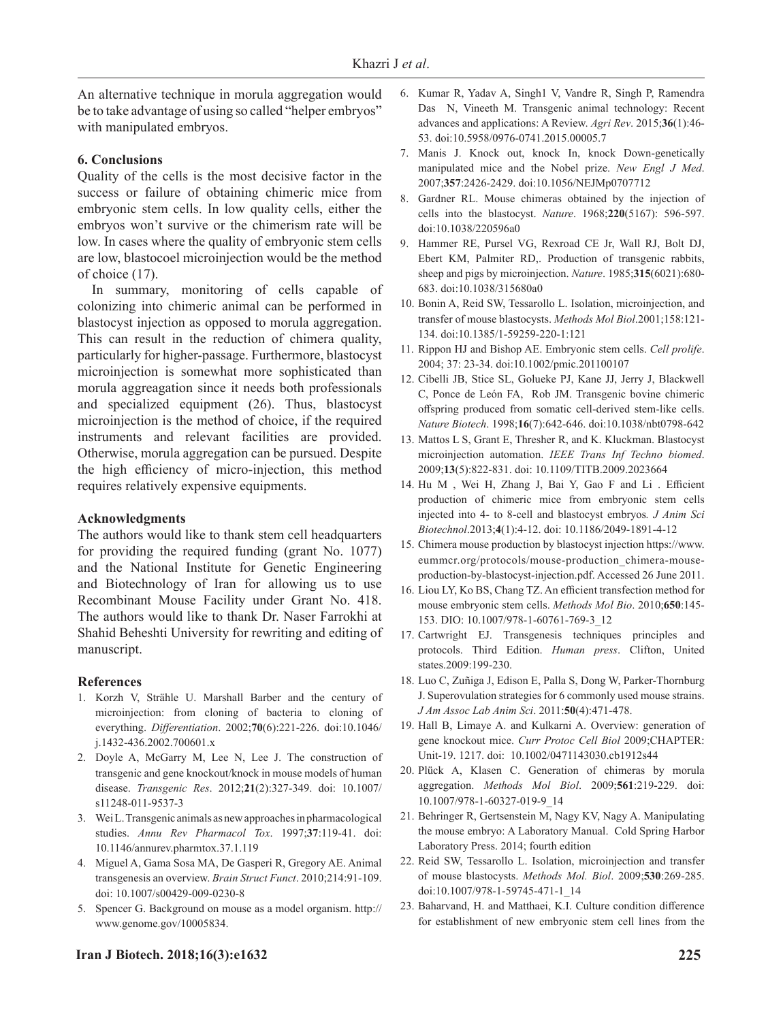An alternative technique in morula aggregation would be to take advantage of using so called "helper embryos" with manipulated embryos.

#### **6. Conclusions**

Quality of the cells is the most decisive factor in the success or failure of obtaining chimeric mice from embryonic stem cells. In low quality cells, either the embryos won't survive or the chimerism rate will be low. In cases where the quality of embryonic stem cells are low, blastocoel microinjection would be the method of choice (17).

In summary, monitoring of cells capable of colonizing into chimeric animal can be performed in blastocyst injection as opposed to morula aggregation. This can result in the reduction of chimera quality, particularly for higher-passage. Furthermore, blastocyst microinjection is somewhat more sophisticated than morula aggreagation since it needs both professionals and specialized equipment (26). Thus, blastocyst microinjection is the method of choice, if the required instruments and relevant facilities are provided. Otherwise, morula aggregation can be pursued. Despite the high efficiency of micro-injection, this method requires relatively expensive equipments.

#### **Acknowledgments**

The authors would like to thank stem cell headquarters for providing the required funding (grant No. 1077) and the National Institute for Genetic Engineering and Biotechnology of Iran for allowing us to use Recombinant Mouse Facility under Grant No. 418. The authors would like to thank Dr. Naser Farrokhi at Shahid Beheshti University for rewriting and editing of manuscript.

#### **References**

- 1. Korzh V, Strähle U. Marshall Barber and the century of microinjection: from cloning of bacteria to cloning of everything. *Differentiation*. 2002;**70**(6):221-226. doi[:10.1046/](https://dx.doi.org/10.1046/j.1432-0436.2002.700601.x) [j.1432-436.2002.700601.x](https://dx.doi.org/10.1046/j.1432-0436.2002.700601.x)
- 2. Doyle A, McGarry M, Lee N, Lee J. The construction of transgenic and gene knockout/knock in mouse models of human disease. *Transgenic Res*. 2012;**21**(2):327-349. doi: [10.1007/](https://dx.doi.org/10.1007%2Fs11248-011-9537-3) [s11248-011-9537-3](https://dx.doi.org/10.1007%2Fs11248-011-9537-3)
- 3. Wei L. Transgenic animals as new approaches in pharmacological studies. *Annu Rev Pharmacol Tox*. 1997;**37**:119-41. doi: [10.1146/annurev.pharmtox.37.1.119](https://dx.doi.org/10.1146/annurev.pharmtox.37.1.119)
- 4. Miguel A, Gama Sosa MA, De Gasperi R, Gregory AE. Animal transgenesis an overview. *Brain Struct Funct*. 2010;214:91-109. doi: 10.1007/s00429-009-0230-8
- 5. Spencer G. Background on mouse as a model organism. http:// www.genome.gov/10005834.
- 6. Kumar R, Yadav A, Singh1 V, Vandre R, Singh P, Ramendra Das N, Vineeth M. Transgenic animal technology: Recent advances and applications: A Review. *Agri Rev*. 2015;**36**(1):46- 53. doi:10.5958/0976-0741.2015.00005.7
- 7. Manis J. Knock out, knock In, knock Down-genetically manipulated mice and the Nobel prize. *New Engl J Med*. 2007;**357**:2426-2429. doi:10.1056/NEJMp0707712
- 8. Gardner RL. Mouse chimeras obtained by the injection of cells into the blastocyst. *Nature*. 1968;**220**(5167): 596-597. doi:10.1038/220596a0
- 9. Hammer RE, [Pursel VG](http://www.ncbi.nlm.nih.gov/pubmed/?term=Pursel VG%5BAuthor%5D&cauthor=true&cauthor_uid=3892305), [Rexroad CE Jr](http://www.ncbi.nlm.nih.gov/pubmed/?term=Rexroad CE Jr%5BAuthor%5D&cauthor=true&cauthor_uid=3892305), [Wall RJ](http://www.ncbi.nlm.nih.gov/pubmed/?term=Wall RJ%5BAuthor%5D&cauthor=true&cauthor_uid=3892305), [Bolt DJ](http://www.ncbi.nlm.nih.gov/pubmed/?term=Bolt DJ%5BAuthor%5D&cauthor=true&cauthor_uid=3892305), [Ebert KM](http://www.ncbi.nlm.nih.gov/pubmed/?term=Ebert KM%5BAuthor%5D&cauthor=true&cauthor_uid=3892305), [Palmiter RD](http://www.ncbi.nlm.nih.gov/pubmed/?term=Palmiter RD%5BAuthor%5D&cauthor=true&cauthor_uid=3892305),. Production of transgenic rabbits, sheep and pigs by microinjection. *Nature*. 1985;**315**(6021):680- 683. doi:10.1038/315680a0
- 10. Bonin A, Reid SW, Tessarollo L. Isolation, microinjection, and transfer of mouse blastocysts. *[Methods Mol Biol](https://www.ncbi.nlm.nih.gov/pubmed/19266343)*.2001;158:121- 134. doi[:10.1385/1-59259-220-1:121](https://dx.doi.org/10.1385/1-59259-220-1:121)
- 11. Rippon HJ and Bishop AE. Embryonic stem cells. *Cell prolife*. 2004; 37: 23-34. doi:10.1002/pmic.201100107
- 12. Cibelli JB, [Stice SL](http://www.ncbi.nlm.nih.gov/pubmed/?term=Stice SL%5BAuthor%5D&cauthor=true&cauthor_uid=9661197), [Golueke PJ](http://www.ncbi.nlm.nih.gov/pubmed/?term=Golueke PJ%5BAuthor%5D&cauthor=true&cauthor_uid=9661197), [Kane JJ](http://www.ncbi.nlm.nih.gov/pubmed/?term=Kane JJ%5BAuthor%5D&cauthor=true&cauthor_uid=9661197), [Jerry J](http://www.ncbi.nlm.nih.gov/pubmed/?term=Jerry J%5BAuthor%5D&cauthor=true&cauthor_uid=9661197), [Blackwell](http://www.ncbi.nlm.nih.gov/pubmed/?term=Blackwell C%5BAuthor%5D&cauthor=true&cauthor_uid=9661197) [C](http://www.ncbi.nlm.nih.gov/pubmed/?term=Blackwell C%5BAuthor%5D&cauthor=true&cauthor_uid=9661197), [Ponce de León FA](http://www.ncbi.nlm.nih.gov/pubmed/?term=Ponce de Le%C3%B3n FA%5BAuthor%5D&cauthor=true&cauthor_uid=9661197), [Rob JM](http://www.ncbi.nlm.nih.gov/pubmed/?term=Robl JM%5BAuthor%5D&cauthor=true&cauthor_uid=9661197). Transgenic bovine chimeric offspring produced from somatic cell-derived stem-like cells. *Nature Biotech*. 1998;**16**(7):642-646. doi:[10.1038/nbt0798-642](https://dx.doi.org/10.1038/nbt0798-642)
- 13. Mattos L S, Grant E, Thresher R, and K. Kluckman. Blastocyst microinjection automation. *IEEE Trans Inf Techno biomed*. 2009;**13**(5):822-831. doi: 10.1109/TITB.2009.2023664
- 14. Hu M , Wei H, Zhang J, Bai Y, Gao F and Li . Efficient production of chimeric mice from embryonic stem cells injected into 4- to 8-cell and blastocyst embryos*. [J Anim Sci](https://www.ncbi.nlm.nih.gov/pmc/articles/PMC3622560/) [Biotechnol](https://www.ncbi.nlm.nih.gov/pmc/articles/PMC3622560/)*.2013;**4**(1):4-12. doi: 10.1186/2049-1891-4-12
- 15. Chimera mouse production by blastocyst injection [https://www.](https://www.eummcr.org/protocols/mouse-production_chimera-mouse-production-by-blastocyst-injection.pdf) [eummcr.org/protocols/mouse-production\\_chimera-mouse](https://www.eummcr.org/protocols/mouse-production_chimera-mouse-production-by-blastocyst-injection.pdf)[production-by-blastocyst-injection.pdf](https://www.eummcr.org/protocols/mouse-production_chimera-mouse-production-by-blastocyst-injection.pdf). Accessed 26 June 2011.
- 16. Liou LY, Ko BS, Chang TZ. An efficient transfection method for mouse embryonic stem cells. *Methods Mol Bio*. 2010;**650**:145- 153. DIO: 10.1007/978-1-60761-769-3\_12
- 17. Cartwright EJ. Transgenesis techniques principles and protocols. Third Edition. *Human press*. Clifton, United states.2009:199-230.
- 18. Luo C, Zuñiga J, Edison E, Palla S, Dong W, Parker-Thornburg J. Superovulation strategies for 6 commonly used mouse strains. *J Am Assoc Lab Anim Sci*. 2011:**50**(4):471-478.
- 19. Hall B, Limaye A. and Kulkarni A. Overview: generation of gene knockout mice. *[Curr Protoc Cell Biol](https://www.ncbi.nlm.nih.gov/entrez/eutils/elink.fcgi?dbfrom=pubmed&retmode=ref&cmd=prlinks&id=19731224)* 2009;CHAPTER: Unit-19. 1217. doi: [10.1002/0471143030.cb1912s44](https://dx.doi.org/10.1002%2F0471143030.cb1912s44)
- 20. [Plück A](http://www.ncbi.nlm.nih.gov/pubmed/?term=Pl%C3%BCck A%5BAuthor%5D&cauthor=true&cauthor_uid=19504074), [Klasen C](http://www.ncbi.nlm.nih.gov/pubmed/?term=Klasen C%5BAuthor%5D&cauthor=true&cauthor_uid=19504074). Generation of chimeras by morula aggregation. *[Methods Mol Biol](http://www.ncbi.nlm.nih.gov/pubmed/19504074)*. 2009;**561**:219-229. doi: 10.1007/978-1-60327-019-9\_14
- 21. Behringer R, Gertsenstein M, Nagy KV, Nagy A. Manipulating the mouse embryo: A Laboratory Manual. Cold Spring Harbor Laboratory Press. 2014; fourth edition
- 22. [Reid SW](http://www.ncbi.nlm.nih.gov/pubmed/?term=Reid SW%5BAuthor%5D&cauthor=true&cauthor_uid=19266343), [Tessarollo L](http://www.ncbi.nlm.nih.gov/pubmed/?term=Tessarollo L%5BAuthor%5D&cauthor=true&cauthor_uid=19266343). Isolation, microinjection and transfer of mouse blastocysts. *Methods Mol. Biol*. 2009;**530**:269-285. doi:10.1007/978-1-59745-471-1\_14
- 23. Baharvand, H. and Matthaei, K.I. Culture condition difference for establishment of new embryonic stem cell lines from the

#### **Iran J Biotech. 2018;16(3):e1632 225**